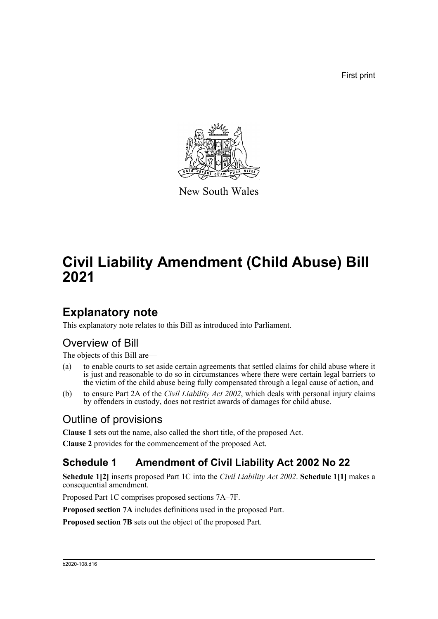First print



New South Wales

# **Civil Liability Amendment (Child Abuse) Bill 2021**

### **Explanatory note**

This explanatory note relates to this Bill as introduced into Parliament.

### Overview of Bill

The objects of this Bill are—

- (a) to enable courts to set aside certain agreements that settled claims for child abuse where it is just and reasonable to do so in circumstances where there were certain legal barriers to the victim of the child abuse being fully compensated through a legal cause of action, and
- (b) to ensure Part 2A of the *Civil Liability Act 2002*, which deals with personal injury claims by offenders in custody, does not restrict awards of damages for child abuse.

### Outline of provisions

**Clause 1** sets out the name, also called the short title, of the proposed Act.

**Clause 2** provides for the commencement of the proposed Act.

#### **Schedule 1 Amendment of Civil Liability Act 2002 No 22**

**Schedule 1[2]** inserts proposed Part 1C into the *Civil Liability Act 2002*. **Schedule 1[1]** makes a consequential amendment.

Proposed Part 1C comprises proposed sections 7A–7F.

**Proposed section 7A** includes definitions used in the proposed Part.

**Proposed section 7B** sets out the object of the proposed Part.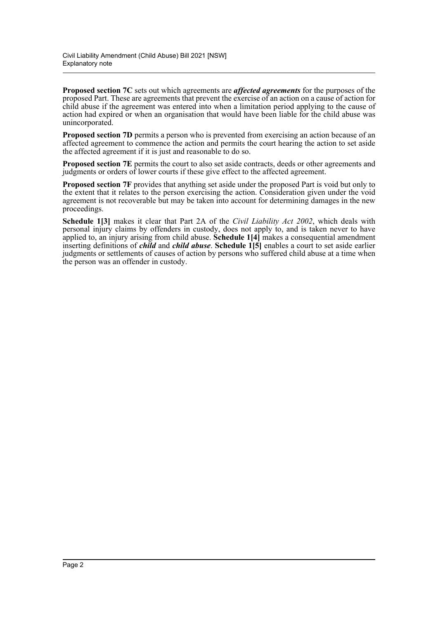**Proposed section 7C** sets out which agreements are *affected agreements* for the purposes of the proposed Part. These are agreements that prevent the exercise of an action on a cause of action for child abuse if the agreement was entered into when a limitation period applying to the cause of action had expired or when an organisation that would have been liable for the child abuse was unincorporated.

**Proposed section 7D** permits a person who is prevented from exercising an action because of an affected agreement to commence the action and permits the court hearing the action to set aside the affected agreement if it is just and reasonable to do so.

**Proposed section 7E** permits the court to also set aside contracts, deeds or other agreements and judgments or orders of lower courts if these give effect to the affected agreement.

**Proposed section 7F** provides that anything set aside under the proposed Part is void but only to the extent that it relates to the person exercising the action. Consideration given under the void agreement is not recoverable but may be taken into account for determining damages in the new proceedings.

**Schedule 1[3]** makes it clear that Part 2A of the *Civil Liability Act 2002*, which deals with personal injury claims by offenders in custody, does not apply to, and is taken never to have applied to, an injury arising from child abuse. **Schedule 1[4]** makes a consequential amendment inserting definitions of *child* and *child abuse*. **Schedule 1[5]** enables a court to set aside earlier judgments or settlements of causes of action by persons who suffered child abuse at a time when the person was an offender in custody.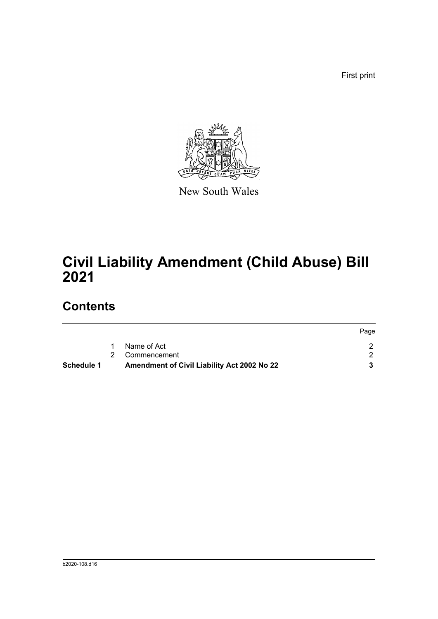First print



New South Wales

# **Civil Liability Amendment (Child Abuse) Bill 2021**

## **Contents**

|            |                                             | Page |
|------------|---------------------------------------------|------|
|            | Name of Act                                 |      |
|            | 2 Commencement                              |      |
| Schedule 1 | Amendment of Civil Liability Act 2002 No 22 |      |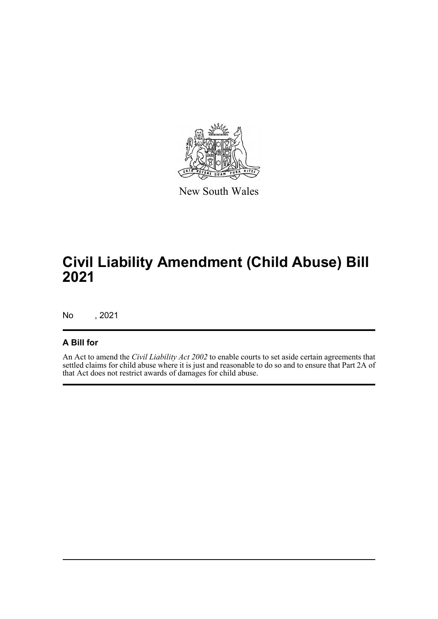

New South Wales

# **Civil Liability Amendment (Child Abuse) Bill 2021**

No , 2021

#### **A Bill for**

An Act to amend the *Civil Liability Act 2002* to enable courts to set aside certain agreements that settled claims for child abuse where it is just and reasonable to do so and to ensure that Part 2A of that Act does not restrict awards of damages for child abuse.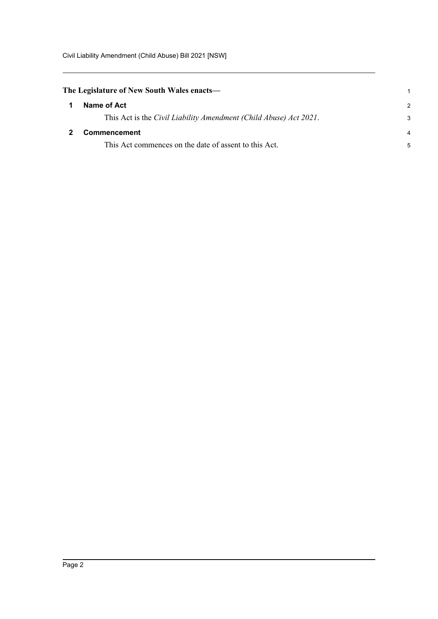<span id="page-4-1"></span><span id="page-4-0"></span>

| The Legislature of New South Wales enacts— |                                                                   | 1             |
|--------------------------------------------|-------------------------------------------------------------------|---------------|
| 1                                          | Name of Act                                                       | $\mathcal{P}$ |
|                                            | This Act is the Civil Liability Amendment (Child Abuse) Act 2021. | 3             |
|                                            | <b>Commencement</b>                                               | 4             |
|                                            | This Act commences on the date of assent to this Act.             | 5             |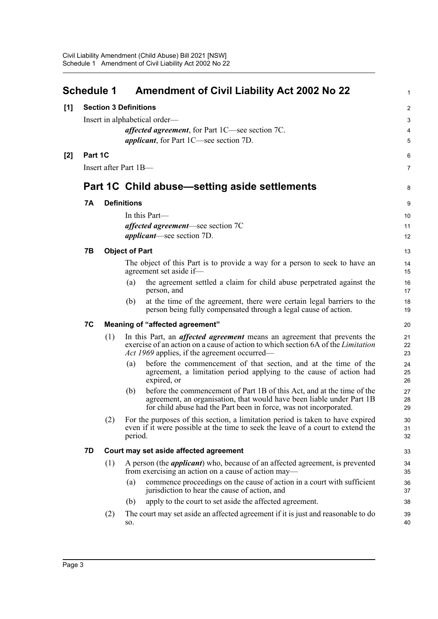<span id="page-5-0"></span>

|       | <b>Schedule 1</b>             |     |                       | <b>Amendment of Civil Liability Act 2002 No 22</b>                                                                                                                                                                                | 1              |
|-------|-------------------------------|-----|-----------------------|-----------------------------------------------------------------------------------------------------------------------------------------------------------------------------------------------------------------------------------|----------------|
| [1]   | <b>Section 3 Definitions</b>  |     |                       |                                                                                                                                                                                                                                   | $\overline{2}$ |
|       | Insert in alphabetical order- |     |                       | 3                                                                                                                                                                                                                                 |                |
|       |                               |     |                       | <i>affected agreement</i> , for Part 1C—see section 7C.                                                                                                                                                                           | 4              |
|       |                               |     |                       | <i>applicant</i> , for Part 1C—see section 7D.                                                                                                                                                                                    | 5              |
| $[2]$ | Part 1C                       |     |                       |                                                                                                                                                                                                                                   | 6              |
|       | Insert after Part 1B-         |     |                       |                                                                                                                                                                                                                                   |                |
|       |                               |     |                       | Part 1C Child abuse—setting aside settlements                                                                                                                                                                                     | 8              |
|       | 7Α                            |     | <b>Definitions</b>    |                                                                                                                                                                                                                                   | 9              |
|       |                               |     |                       | In this Part—                                                                                                                                                                                                                     | 10             |
|       |                               |     |                       | <i>affected agreement</i> —see section 7C                                                                                                                                                                                         | 11             |
|       |                               |     |                       | <i>applicant</i> —see section 7D.                                                                                                                                                                                                 | 12             |
|       | 7В                            |     | <b>Object of Part</b> |                                                                                                                                                                                                                                   | 13             |
|       |                               |     |                       | The object of this Part is to provide a way for a person to seek to have an<br>agreement set aside if-                                                                                                                            | 14<br>15       |
|       |                               |     | (a)                   | the agreement settled a claim for child abuse perpetrated against the<br>person, and                                                                                                                                              | 16<br>17       |
|       |                               |     | (b)                   | at the time of the agreement, there were certain legal barriers to the<br>person being fully compensated through a legal cause of action.                                                                                         | 18<br>19       |
|       | 7C                            |     |                       | Meaning of "affected agreement"                                                                                                                                                                                                   | 20             |
|       |                               | (1) |                       | In this Part, an <i>affected agreement</i> means an agreement that prevents the<br>exercise of an action on a cause of action to which section 6A of the <i>Limitation</i><br><i>Act 1969</i> applies, if the agreement occurred— | 21<br>22<br>23 |
|       |                               |     | (a)                   | before the commencement of that section, and at the time of the<br>agreement, a limitation period applying to the cause of action had<br>expired, or                                                                              | 24<br>25<br>26 |
|       |                               |     | (b)                   | before the commencement of Part 1B of this Act, and at the time of the<br>agreement, an organisation, that would have been liable under Part 1B<br>for child abuse had the Part been in force, was not incorporated.              | 27<br>28<br>29 |
|       |                               | (2) | period.               | For the purposes of this section, a limitation period is taken to have expired<br>even if it were possible at the time to seek the leave of a court to extend the                                                                 | 30<br>31<br>32 |
|       | 7D                            |     |                       | Court may set aside affected agreement                                                                                                                                                                                            | 33             |
|       |                               | (1) |                       | A person (the <i>applicant</i> ) who, because of an affected agreement, is prevented<br>from exercising an action on a cause of action may—                                                                                       | 34<br>35       |
|       |                               |     | (a)                   | commence proceedings on the cause of action in a court with sufficient<br>jurisdiction to hear the cause of action, and                                                                                                           | 36<br>37       |
|       |                               |     | (b)                   | apply to the court to set aside the affected agreement.                                                                                                                                                                           | 38             |
|       |                               | (2) | SO.                   | The court may set aside an affected agreement if it is just and reasonable to do                                                                                                                                                  | 39<br>40       |
|       |                               |     |                       |                                                                                                                                                                                                                                   |                |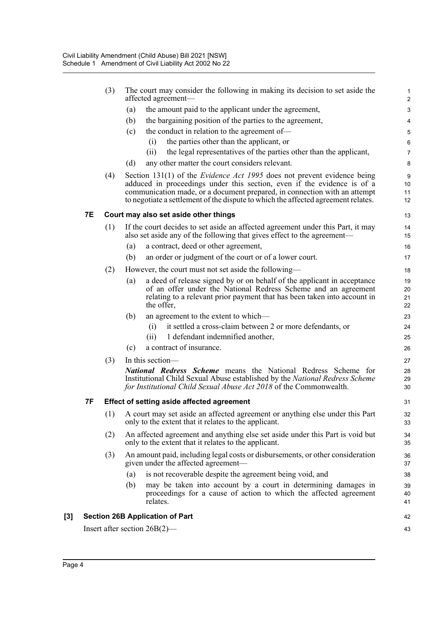|     |           | (3) | The court may consider the following in making its decision to set aside the<br>affected agreement-                                                                                                                                                                                                                         | $\mathbf{1}$<br>$\overline{2}$ |
|-----|-----------|-----|-----------------------------------------------------------------------------------------------------------------------------------------------------------------------------------------------------------------------------------------------------------------------------------------------------------------------------|--------------------------------|
|     |           |     | the amount paid to the applicant under the agreement,<br>(a)                                                                                                                                                                                                                                                                | $\ensuremath{\mathsf{3}}$      |
|     |           |     | the bargaining position of the parties to the agreement,<br>(b)                                                                                                                                                                                                                                                             | 4                              |
|     |           |     | the conduct in relation to the agreement of-<br>(c)                                                                                                                                                                                                                                                                         | $\mathbf 5$                    |
|     |           |     | the parties other than the applicant, or<br>(i)                                                                                                                                                                                                                                                                             | 6                              |
|     |           |     | the legal representatives of the parties other than the applicant,<br>(ii)                                                                                                                                                                                                                                                  | $\overline{7}$                 |
|     |           |     | any other matter the court considers relevant.<br>(d)                                                                                                                                                                                                                                                                       | 8                              |
|     |           | (4) | Section 131(1) of the <i>Evidence Act 1995</i> does not prevent evidence being<br>adduced in proceedings under this section, even if the evidence is of a<br>communication made, or a document prepared, in connection with an attempt<br>to negotiate a settlement of the dispute to which the affected agreement relates. | 9<br>10<br>11<br>12            |
|     | <b>7E</b> |     | Court may also set aside other things                                                                                                                                                                                                                                                                                       | 13                             |
|     |           | (1) | If the court decides to set aside an affected agreement under this Part, it may<br>also set aside any of the following that gives effect to the agreement—                                                                                                                                                                  | 14<br>15                       |
|     |           |     | a contract, deed or other agreement,<br>(a)                                                                                                                                                                                                                                                                                 | 16                             |
|     |           |     | an order or judgment of the court or of a lower court.<br>(b)                                                                                                                                                                                                                                                               | 17                             |
|     |           | (2) | However, the court must not set aside the following—                                                                                                                                                                                                                                                                        | 18                             |
|     |           |     | a deed of release signed by or on behalf of the applicant in acceptance<br>(a)<br>of an offer under the National Redress Scheme and an agreement<br>relating to a relevant prior payment that has been taken into account in<br>the offer,                                                                                  | 19<br>20<br>21<br>22           |
|     |           |     | an agreement to the extent to which—<br>(b)                                                                                                                                                                                                                                                                                 | 23                             |
|     |           |     | it settled a cross-claim between 2 or more defendants, or<br>(i)                                                                                                                                                                                                                                                            | 24                             |
|     |           |     | 1 defendant indemnified another,<br>(ii)                                                                                                                                                                                                                                                                                    | 25                             |
|     |           |     | a contract of insurance.<br>(c)                                                                                                                                                                                                                                                                                             | 26                             |
|     |           | (3) | In this section-                                                                                                                                                                                                                                                                                                            | 27                             |
|     |           |     | <b>National Redress Scheme</b> means the National Redress Scheme for<br>Institutional Child Sexual Abuse established by the National Redress Scheme<br>for Institutional Child Sexual Abuse Act 2018 of the Commonwealth.                                                                                                   | 28<br>29<br>30                 |
|     | 7F        |     | <b>Effect of setting aside affected agreement</b>                                                                                                                                                                                                                                                                           | 31                             |
|     |           |     | (1) A court may set aside an affected agreement or anything else under this Part<br>only to the extent that it relates to the applicant.                                                                                                                                                                                    | 32<br>33                       |
|     |           | (2) | An affected agreement and anything else set aside under this Part is void but<br>only to the extent that it relates to the applicant.                                                                                                                                                                                       | 34<br>35                       |
|     |           | (3) | An amount paid, including legal costs or disbursements, or other consideration<br>given under the affected agreement—                                                                                                                                                                                                       | 36<br>37                       |
|     |           |     | is not recoverable despite the agreement being void, and<br>(a)                                                                                                                                                                                                                                                             | 38                             |
|     |           |     | may be taken into account by a court in determining damages in<br>(b)<br>proceedings for a cause of action to which the affected agreement<br>relates.                                                                                                                                                                      | 39<br>40<br>41                 |
| [3] |           |     | <b>Section 26B Application of Part</b>                                                                                                                                                                                                                                                                                      | 42                             |
|     |           |     | Insert after section $26B(2)$ —                                                                                                                                                                                                                                                                                             | 43                             |
|     |           |     |                                                                                                                                                                                                                                                                                                                             |                                |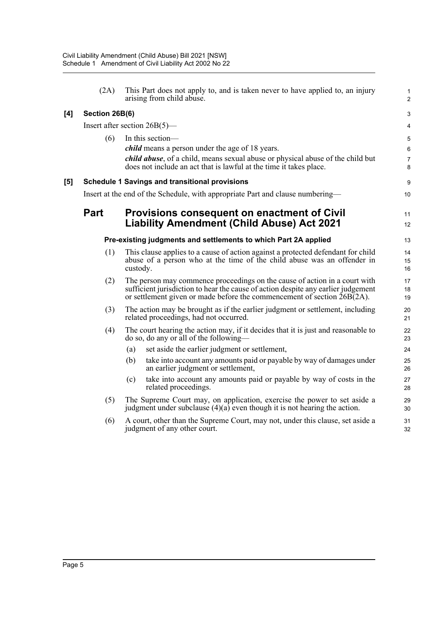|     | (2A)           | This Part does not apply to, and is taken never to have applied to, an injury<br>arising from child abuse.                                                                                                                                 | 1<br>$\overline{2}$ |
|-----|----------------|--------------------------------------------------------------------------------------------------------------------------------------------------------------------------------------------------------------------------------------------|---------------------|
| [4] | Section 26B(6) |                                                                                                                                                                                                                                            | 3                   |
|     |                | Insert after section $26B(5)$ —                                                                                                                                                                                                            | 4                   |
|     | (6)            | In this section-                                                                                                                                                                                                                           | 5                   |
|     |                | <i>child</i> means a person under the age of 18 years.                                                                                                                                                                                     | 6                   |
|     |                | <i>child abuse</i> , of a child, means sexual abuse or physical abuse of the child but<br>does not include an act that is lawful at the time it takes place.                                                                               | $\overline{7}$<br>8 |
| [5] |                | <b>Schedule 1 Savings and transitional provisions</b>                                                                                                                                                                                      | 9                   |
|     |                | Insert at the end of the Schedule, with appropriate Part and clause numbering—                                                                                                                                                             | 10                  |
|     | <b>Part</b>    | <b>Provisions consequent on enactment of Civil</b>                                                                                                                                                                                         | 11                  |
|     |                | <b>Liability Amendment (Child Abuse) Act 2021</b>                                                                                                                                                                                          | 12                  |
|     |                | Pre-existing judgments and settlements to which Part 2A applied                                                                                                                                                                            | 13                  |
|     | (1)            | This clause applies to a cause of action against a protected defendant for child<br>abuse of a person who at the time of the child abuse was an offender in<br>custody.                                                                    | 14<br>15<br>16      |
|     | (2)            | The person may commence proceedings on the cause of action in a court with<br>sufficient jurisdiction to hear the cause of action despite any earlier judgement<br>or settlement given or made before the commencement of section 26B(2A). | 17<br>18<br>19      |
|     | (3)            | The action may be brought as if the earlier judgment or settlement, including<br>related proceedings, had not occurred.                                                                                                                    | 20<br>21            |
|     | (4)            | The court hearing the action may, if it decides that it is just and reasonable to<br>do so, do any or all of the following-                                                                                                                | 22<br>23            |
|     |                | set aside the earlier judgment or settlement,<br>(a)                                                                                                                                                                                       | 24                  |
|     |                | take into account any amounts paid or payable by way of damages under<br>(b)<br>an earlier judgment or settlement,                                                                                                                         | 25<br>26            |
|     |                | take into account any amounts paid or payable by way of costs in the<br>(c)<br>related proceedings.                                                                                                                                        | 27<br>28            |
|     | (5)            | The Supreme Court may, on application, exercise the power to set aside a<br>judgment under subclause $(4)(a)$ even though it is not hearing the action.                                                                                    | 29<br>30            |
|     | (6)            | A court, other than the Supreme Court, may not, under this clause, set aside a<br>judgment of any other court.                                                                                                                             | 31<br>32            |